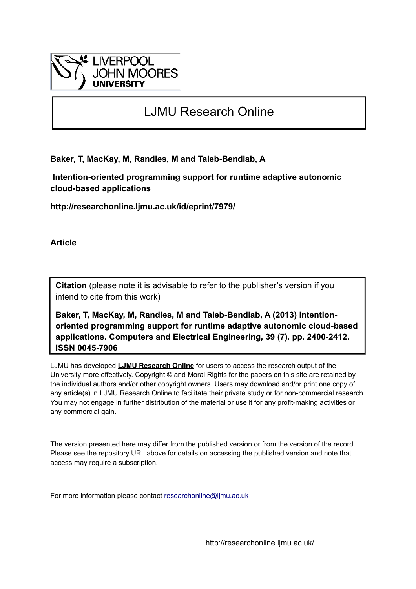

# LJMU Research Online

**Baker, T, MacKay, M, Randles, M and Taleb-Bendiab, A**

 **Intention-oriented programming support for runtime adaptive autonomic cloud-based applications**

**http://researchonline.ljmu.ac.uk/id/eprint/7979/**

**Article**

**Citation** (please note it is advisable to refer to the publisher's version if you intend to cite from this work)

**Baker, T, MacKay, M, Randles, M and Taleb-Bendiab, A (2013) Intentionoriented programming support for runtime adaptive autonomic cloud-based applications. Computers and Electrical Engineering, 39 (7). pp. 2400-2412. ISSN 0045-7906** 

LJMU has developed **[LJMU Research Online](http://researchonline.ljmu.ac.uk/)** for users to access the research output of the University more effectively. Copyright © and Moral Rights for the papers on this site are retained by the individual authors and/or other copyright owners. Users may download and/or print one copy of any article(s) in LJMU Research Online to facilitate their private study or for non-commercial research. You may not engage in further distribution of the material or use it for any profit-making activities or any commercial gain.

The version presented here may differ from the published version or from the version of the record. Please see the repository URL above for details on accessing the published version and note that access may require a subscription.

For more information please contact [researchonline@ljmu.ac.uk](mailto:researchonline@ljmu.ac.uk)

http://researchonline.ljmu.ac.uk/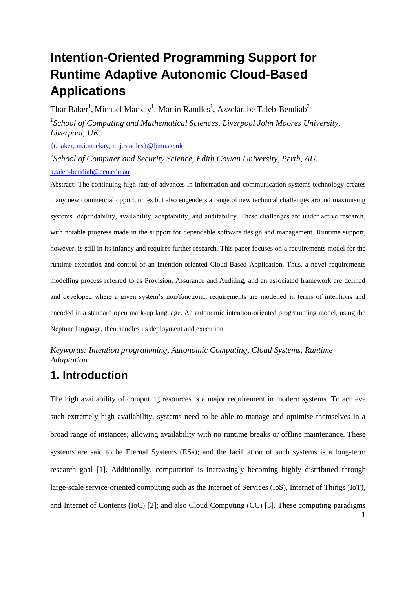# **Intention-Oriented Programming Support for Runtime Adaptive Autonomic Cloud-Based Applications**

Thar Baker<sup>1</sup>, Michael Mackay<sup>1</sup>, Martin Randles<sup>1</sup>, Azzelarabe Taleb-Bendiab<sup>2,</sup> <sup>1</sup> School of Computing and Mathematical Sciences, Liverpool John Moores University, *Liverpool, UK.*

{t.baker, m.i.mackay, [m.j.randles}@ljmu.ac.uk](mailto:m.j.randles%7d@ljmu.ac.uk)

*2 School of Computer and Security Science, Edith Cowan University, Perth, AU.* [a.taleb-bendiab@ecu.edu.au](mailto:a.taleb-bendiab@ecu.edu.au)

Abstract: The continuing high rate of advances in information and communication systems technology creates many new commercial opportunities but also engenders a range of new technical challenges around maximising systems' dependability, availability, adaptability, and auditability. These challenges are under active research, with notable progress made in the support for dependable software design and management. Runtime support, however, is still in its infancy and requires further research. This paper focuses on a requirements model for the runtime execution and control of an intention-oriented Cloud-Based Application. Thus, a novel requirements modelling process referred to as Provision, Assurance and Auditing, and an associated framework are defined and developed where a given system's non/functional requirements are modelled in terms of intentions and encoded in a standard open mark-up language. An autonomic intention-oriented programming model, using the Neptune language, then handles its deployment and execution.

## *Keywords: Intention programming, Autonomic Computing, Cloud Systems, Runtime Adaptation*

# **1. Introduction**

The high availability of computing resources is a major requirement in modern systems. To achieve such extremely high availability, systems need to be able to manage and optimise themselves in a broad range of instances; allowing availability with no runtime breaks or offline maintenance. These systems are said to be Eternal Systems (ESs); and the facilitation of such systems is a long-term research goal [1]. Additionally, computation is increasingly becoming highly distributed through large-scale service-oriented computing such as the Internet of Services (IoS), Internet of Things (IoT), and Internet of Contents (IoC) [2]; and also Cloud Computing (CC) [3]. These computing paradigms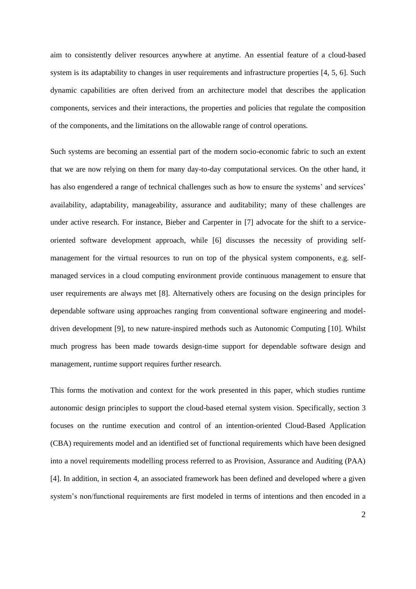aim to consistently deliver resources anywhere at anytime. An essential feature of a cloud-based system is its adaptability to changes in user requirements and infrastructure properties [4, 5, 6]. Such dynamic capabilities are often derived from an architecture model that describes the application components, services and their interactions, the properties and policies that regulate the composition of the components, and the limitations on the allowable range of control operations.

Such systems are becoming an essential part of the modern socio-economic fabric to such an extent that we are now relying on them for many day-to-day computational services. On the other hand, it has also engendered a range of technical challenges such as how to ensure the systems' and services' availability, adaptability, manageability, assurance and auditability; many of these challenges are under active research. For instance, Bieber and Carpenter in [7] advocate for the shift to a serviceoriented software development approach, while [6] discusses the necessity of providing selfmanagement for the virtual resources to run on top of the physical system components, e.g. selfmanaged services in a cloud computing environment provide continuous management to ensure that user requirements are always met [8]. Alternatively others are focusing on the design principles for dependable software using approaches ranging from conventional software engineering and modeldriven development [9], to new nature-inspired methods such as Autonomic Computing [10]. Whilst much progress has been made towards design-time support for dependable software design and management, runtime support requires further research.

This forms the motivation and context for the work presented in this paper, which studies runtime autonomic design principles to support the cloud-based eternal system vision. Specifically, section 3 focuses on the runtime execution and control of an intention-oriented Cloud-Based Application (CBA) requirements model and an identified set of functional requirements which have been designed into a novel requirements modelling process referred to as Provision, Assurance and Auditing (PAA) [4]. In addition, in section 4, an associated framework has been defined and developed where a given system's non/functional requirements are first modeled in terms of intentions and then encoded in a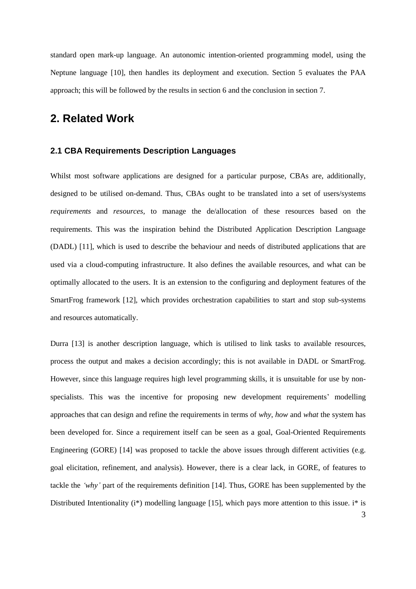standard open mark-up language. An autonomic intention-oriented programming model, using the Neptune language [10], then handles its deployment and execution. Section 5 evaluates the PAA approach; this will be followed by the results in section 6 and the conclusion in section 7.

# **2. Related Work**

#### **2.1 CBA Requirements Description Languages**

Whilst most software applications are designed for a particular purpose, CBAs are, additionally, designed to be utilised on-demand. Thus, CBAs ought to be translated into a set of users/systems *requirements* and *resources,* to manage the de/allocation of these resources based on the requirements. This was the inspiration behind the Distributed Application Description Language (DADL) [11], which is used to describe the behaviour and needs of distributed applications that are used via a cloud-computing infrastructure. It also defines the available resources, and what can be optimally allocated to the users. It is an extension to the configuring and deployment features of the SmartFrog framework [12], which provides orchestration capabilities to start and stop sub-systems and resources automatically.

Durra [13] is another description language, which is utilised to link tasks to available resources, process the output and makes a decision accordingly; this is not available in DADL or SmartFrog. However, since this language requires high level programming skills, it is unsuitable for use by nonspecialists. This was the incentive for proposing new development requirements' modelling approaches that can design and refine the requirements in terms of *why*, *how* and *what* the system has been developed for. Since a requirement itself can be seen as a goal, Goal-Oriented Requirements Engineering (GORE) [14] was proposed to tackle the above issues through different activities (e.g. goal elicitation, refinement, and analysis). However, there is a clear lack, in GORE, of features to tackle the *'why'* part of the requirements definition [14]. Thus, GORE has been supplemented by the Distributed Intentionality (i<sup>\*</sup>) modelling language [15], which pays more attention to this issue. i<sup>\*</sup> is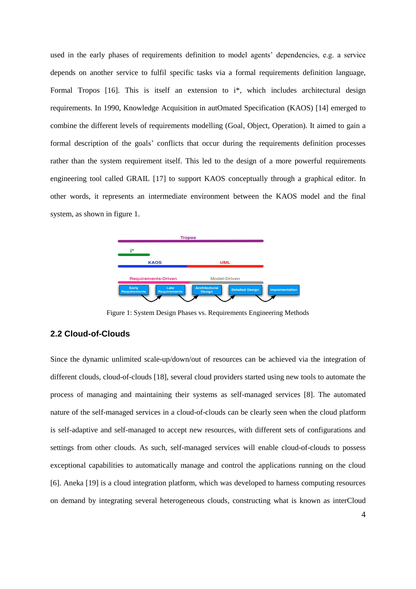used in the early phases of requirements definition to model agents' dependencies, e.g. a service depends on another service to fulfil specific tasks via a formal requirements definition language, Formal Tropos [16]. This is itself an extension to i<sup>\*</sup>, which includes architectural design requirements. In 1990, Knowledge Acquisition in autOmated Specification (KAOS) [14] emerged to combine the different levels of requirements modelling (Goal, Object, Operation). It aimed to gain a formal description of the goals' conflicts that occur during the requirements definition processes rather than the system requirement itself. This led to the design of a more powerful requirements engineering tool called GRAIL [17] to support KAOS conceptually through a graphical editor. In other words, it represents an intermediate environment between the KAOS model and the final system, as shown in figure 1.



Figure 1: System Design Phases vs. Requirements Engineering Methods

### **2.2 Cloud-of-Clouds**

Since the dynamic unlimited scale-up/down/out of resources can be achieved via the integration of different clouds, cloud-of-clouds [18], several cloud providers started using new tools to automate the process of managing and maintaining their systems as self-managed services [8]. The automated nature of the self-managed services in a cloud-of-clouds can be clearly seen when the cloud platform is self-adaptive and self-managed to accept new resources, with different sets of configurations and settings from other clouds. As such, self-managed services will enable cloud-of-clouds to possess exceptional capabilities to automatically manage and control the applications running on the cloud [6]. Aneka [19] is a cloud integration platform, which was developed to harness computing resources on demand by integrating several heterogeneous clouds, constructing what is known as interCloud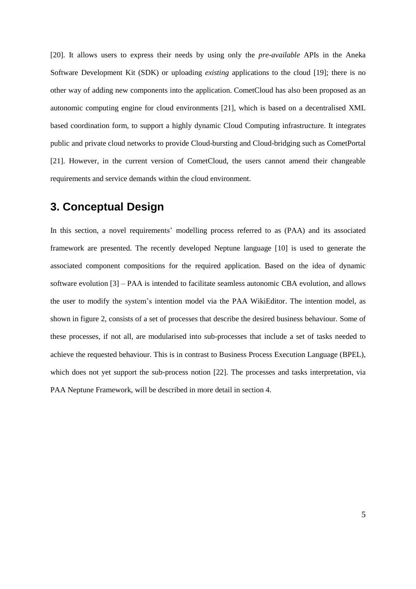[20]. It allows users to express their needs by using only the *pre-available* APIs in the Aneka Software Development Kit (SDK) or uploading *existing* applications to the cloud [19]; there is no other way of adding new components into the application. CometCloud has also been proposed as an autonomic computing engine for cloud environments [21], which is based on a decentralised XML based coordination form, to support a highly dynamic Cloud Computing infrastructure. It integrates public and private cloud networks to provide Cloud-bursting and Cloud-bridging such as CometPortal [21]. However, in the current version of CometCloud, the users cannot amend their changeable requirements and service demands within the cloud environment.

# **3. Conceptual Design**

In this section, a novel requirements' modelling process referred to as (PAA) and its associated framework are presented. The recently developed Neptune language [10] is used to generate the associated component compositions for the required application. Based on the idea of dynamic software evolution [3] – PAA is intended to facilitate seamless autonomic CBA evolution, and allows the user to modify the system's intention model via the PAA WikiEditor. The intention model, as shown in figure 2, consists of a set of processes that describe the desired business behaviour. Some of these processes, if not all, are modularised into sub-processes that include a set of tasks needed to achieve the requested behaviour. This is in contrast to Business Process Execution Language (BPEL), which does not yet support the sub-process notion [22]. The processes and tasks interpretation, via PAA Neptune Framework, will be described in more detail in section 4.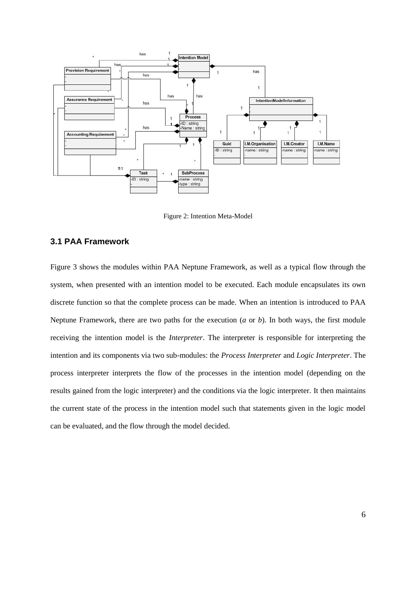

Figure 2: Intention Meta-Model

## **3.1 PAA Framework**

Figure 3 shows the modules within PAA Neptune Framework, as well as a typical flow through the system, when presented with an intention model to be executed. Each module encapsulates its own discrete function so that the complete process can be made. When an intention is introduced to PAA Neptune Framework, there are two paths for the execution (*a* or *b*). In both ways, the first module receiving the intention model is the *Interpreter*. The interpreter is responsible for interpreting the intention and its components via two sub-modules: the *Process Interpreter* and *Logic Interpreter*. The process interpreter interprets the flow of the processes in the intention model (depending on the results gained from the logic interpreter) and the conditions via the logic interpreter. It then maintains the current state of the process in the intention model such that statements given in the logic model can be evaluated, and the flow through the model decided.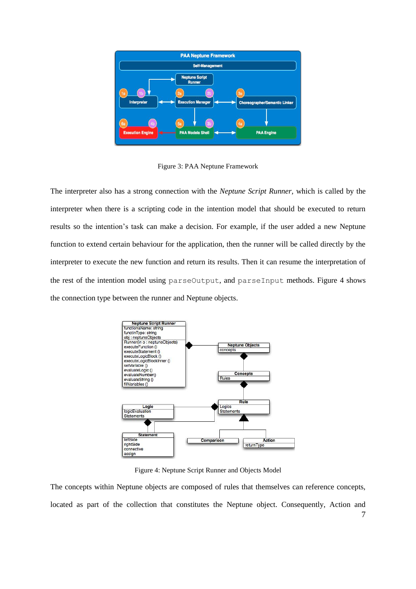

Figure 3: PAA Neptune Framework

The interpreter also has a strong connection with the *Neptune Script Runner,* which is called by the interpreter when there is a scripting code in the intention model that should be executed to return results so the intention's task can make a decision. For example, if the user added a new Neptune function to extend certain behaviour for the application, then the runner will be called directly by the interpreter to execute the new function and return its results. Then it can resume the interpretation of the rest of the intention model using parseOutput, and parseInput methods. Figure 4 shows the connection type between the runner and Neptune objects.



Figure 4: Neptune Script Runner and Objects Model

The concepts within Neptune objects are composed of rules that themselves can reference concepts, located as part of the collection that constitutes the Neptune object. Consequently, Action and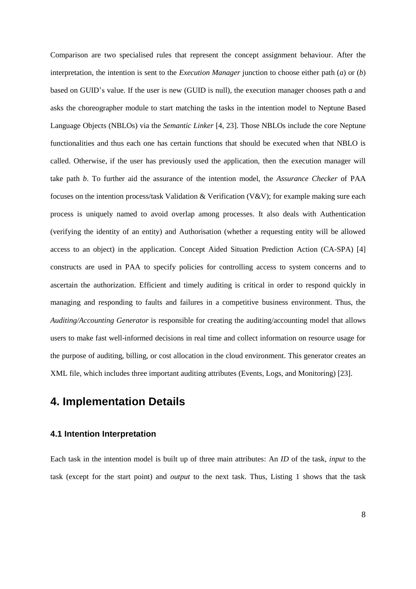Comparison are two specialised rules that represent the concept assignment behaviour. After the interpretation, the intention is sent to the *Execution Manager* junction to choose either path (*a*) or (*b*) based on GUID's value. If the user is new (GUID is null), the execution manager chooses path *a* and asks the choreographer module to start matching the tasks in the intention model to Neptune Based Language Objects (NBLOs) via the *Semantic Linker* [4, 23]. Those NBLOs include the core Neptune functionalities and thus each one has certain functions that should be executed when that NBLO is called. Otherwise, if the user has previously used the application, then the execution manager will take path *b*. To further aid the assurance of the intention model, the *Assurance Checker* of PAA focuses on the intention process/task Validation & Verification (V&V); for example making sure each process is uniquely named to avoid overlap among processes. It also deals with Authentication (verifying the identity of an entity) and Authorisation (whether a requesting entity will be allowed access to an object) in the application. Concept Aided Situation Prediction Action (CA-SPA) [4] constructs are used in PAA to specify policies for controlling access to system concerns and to ascertain the authorization. Efficient and timely auditing is critical in order to respond quickly in managing and responding to faults and failures in a competitive business environment. Thus, the *Auditing/Accounting Generator* is responsible for creating the auditing/accounting model that allows users to make fast well-informed decisions in real time and collect information on resource usage for the purpose of auditing, billing, or cost allocation in the cloud environment. This generator creates an XML file, which includes three important auditing attributes (Events, Logs, and Monitoring) [23].

# **4. Implementation Details**

### **4.1 Intention Interpretation**

Each task in the intention model is built up of three main attributes: An *ID* of the task, *input* to the task (except for the start point) and *output* to the next task. Thus, Listing 1 shows that the task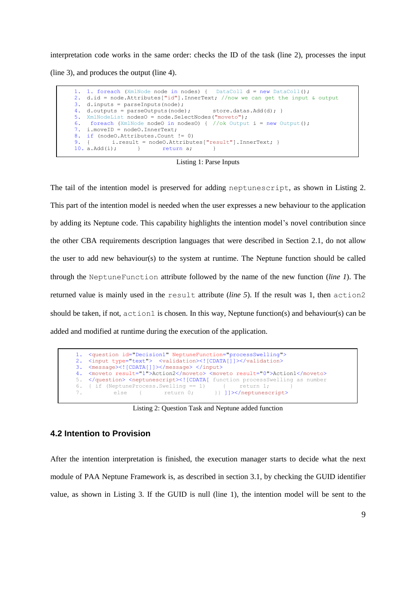interpretation code works in the same order: checks the ID of the task (line 2), processes the input (line 3), and produces the output (line 4).

```
1. 1. foreach (XmlNode node in nodes) { DataColl d = new DataColl();
2. d.id = node.Attributes["id"].InnerText; //now we can get the input & output
3. d.inputs = parseInputs(node);
4. d.outputs = parseOutputs(node); store.datas.Add(d); }
5. XmlNodeList nodesO = node.SelectNodes("moveto");
6. foreach (XmlNode nodeO in nodesO) { //ok Output i = new Output();
7. i.moveID = nodeO.InnerText;
8. if (nodeO.Attributes.Count != 0)
9. { i.result = node0.Attributes["result"].InnerText; }
10. a.Add(i); } return a; }
```
Listing 1: Parse Inputs

The tail of the intention model is preserved for adding neptunescript, as shown in Listing 2. This part of the intention model is needed when the user expresses a new behaviour to the application by adding its Neptune code. This capability highlights the intention model's novel contribution since the other CBA requirements description languages that were described in Section 2.1, do not allow the user to add new behaviour(s) to the system at runtime. The Neptune function should be called through the NeptuneFunction attribute followed by the name of the new function (*line 1*). The returned value is mainly used in the result attribute (*line 5*). If the result was 1, then action2 should be taken, if not, action1 is chosen. In this way, Neptune function(s) and behaviour(s) can be added and modified at runtime during the execution of the application.



Listing 2: Question Task and Neptune added function

### **4.2 Intention to Provision**

After the intention interpretation is finished, the execution manager starts to decide what the next module of PAA Neptune Framework is, as described in section 3.1, by checking the GUID identifier value, as shown in Listing 3. If the GUID is null (line 1), the intention model will be sent to the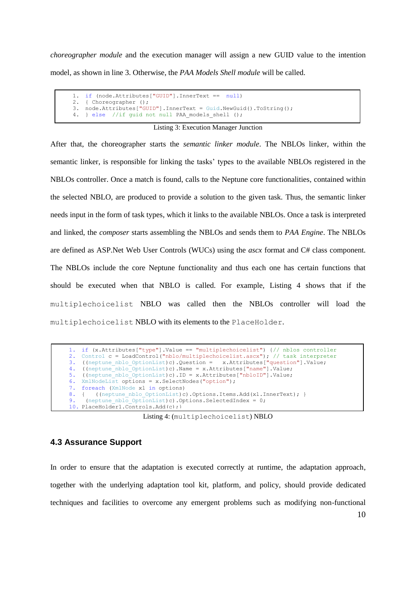*choreographer module* and the execution manager will assign a new GUID value to the intention model, as shown in line 3. Otherwise, the *PAA Models Shell module* will be called.

```
1. if (node.Attributes["GUID"].InnerText == null)<br>2. { Choreographer ();
   2. { Choreographer ();
3. node.Attributes["GUID"].InnerText = Guid.NewGuid().ToString();
4. } else //if guid not null PAA models shell ();
```
#### Listing 3: Execution Manager Junction

After that, the choreographer starts the *semantic linker module*. The NBLOs linker, within the semantic linker, is responsible for linking the tasks' types to the available NBLOs registered in the NBLOs controller. Once a match is found, calls to the Neptune core functionalities, contained within the selected NBLO, are produced to provide a solution to the given task. Thus, the semantic linker needs input in the form of task types, which it links to the available NBLOs. Once a task is interpreted and linked, the *composer* starts assembling the NBLOs and sends them to *PAA Engine*. The NBLOs are defined as ASP.Net Web User Controls (WUCs) using the *ascx* format and C# class component. The NBLOs include the core Neptune functionality and thus each one has certain functions that should be executed when that NBLO is called. For example, Listing 4 shows that if the multiplechoicelist NBLO was called then the NBLOs controller will load the multiplechoicelist NBLO with its elements to the PlaceHolder.



Listing 4: (multiplechoicelist) NBLO

### **4.3 Assurance Support**

10 In order to ensure that the adaptation is executed correctly at runtime, the adaptation approach, together with the underlying adaptation tool kit, platform, and policy, should provide dedicated techniques and facilities to overcome any emergent problems such as modifying non-functional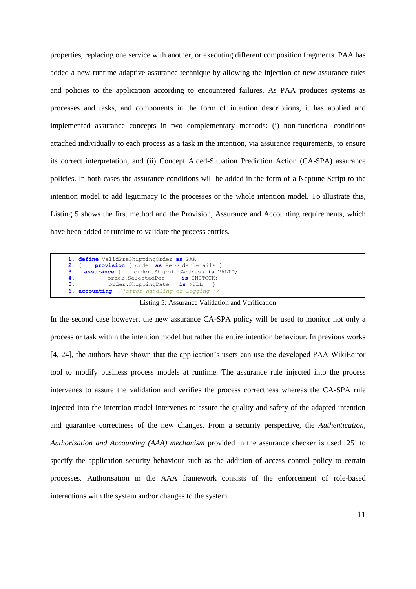properties, replacing one service with another, or executing different composition fragments. PAA has added a new runtime adaptive assurance technique by allowing the injection of new assurance rules and policies to the application according to encountered failures. As PAA produces systems as processes and tasks, and components in the form of intention descriptions, it has applied and implemented assurance concepts in two complementary methods: (i) non-functional conditions attached individually to each process as a task in the intention, via assurance requirements, to ensure its correct interpretation, and (ii) Concept Aided-Situation Prediction Action (CA-SPA) assurance policies. In both cases the assurance conditions will be added in the form of a Neptune Script to the intention model to add legitimacy to the processes or the whole intention model. To illustrate this, Listing 5 shows the first method and the Provision, Assurance and Accounting requirements, which have been added at runtime to validate the process entries.

|    | 1. define ValidPreShippingOrder as PAA                         |
|----|----------------------------------------------------------------|
|    | 2. { provision { order as PetOrderDetails }                    |
| 3. | <b>assurance</b> { order. ShippingAddress is VALID;            |
|    | order.SelectedPet is INSTOCK;                                  |
|    | order.ShippingDate is NULL; }<br>5.                            |
|    | <b>6. accounting</b> $\{\n}/*error$ handling or logging $*/\}$ |

Listing 5: Assurance Validation and Verification

In the second case however, the new assurance CA-SPA policy will be used to monitor not only a process or task within the intention model but rather the entire intention behaviour. In previous works [4, 24], the authors have shown that the application's users can use the developed PAA WikiEditor tool to modify business process models at runtime. The assurance rule injected into the process intervenes to assure the validation and verifies the process correctness whereas the CA-SPA rule injected into the intention model intervenes to assure the quality and safety of the adapted intention and guarantee correctness of the new changes. From a security perspective, the *Authentication, Authorisation and Accounting (AAA) mechanism* provided in the assurance checker is used [25] to specify the application security behaviour such as the addition of access control policy to certain processes. Authorisation in the AAA framework consists of the enforcement of role-based interactions with the system and/or changes to the system.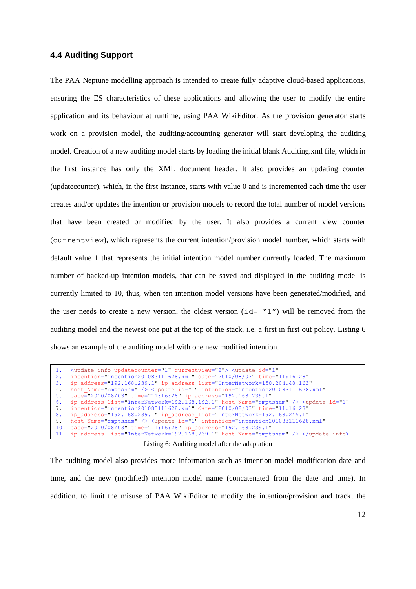#### **4.4 Auditing Support**

The PAA Neptune modelling approach is intended to create fully adaptive cloud-based applications, ensuring the ES characteristics of these applications and allowing the user to modify the entire application and its behaviour at runtime, using PAA WikiEditor. As the provision generator starts work on a provision model, the auditing/accounting generator will start developing the auditing model. Creation of a new auditing model starts by loading the initial blank Auditing.xml file, which in the first instance has only the XML document header. It also provides an updating counter (updatecounter), which, in the first instance, starts with value 0 and is incremented each time the user creates and/or updates the intention or provision models to record the total number of model versions that have been created or modified by the user. It also provides a current view counter (currentview), which represents the current intention/provision model number, which starts with default value 1 that represents the initial intention model number currently loaded. The maximum number of backed-up intention models, that can be saved and displayed in the auditing model is currently limited to 10, thus, when ten intention model versions have been generated/modified, and the user needs to create a new version, the oldest version ( $id = "1"$ ) will be removed from the auditing model and the newest one put at the top of the stack, i.e. a first in first out policy. Listing 6 shows an example of the auditing model with one new modified intention.

```
1. <update info updatecounter="1" currentview="2"> <update id="1"
2. intention="intention201083111628.xml" date="2010/08/03" time="11:16:28"<br>3. ip address="192.168.239.1" ip address list="InterNetwork=150.204.48.163
3. ip_address="192.168.239.1" ip_address_list="InterNetwork=150.204.48.163"
4. host Name="cmptsham" /> <update id="1" intention="intention201083111628.xml"
5. date="2010/08/03" time="11:16:28" ip_address="192.168.239.1"
6. ip_address_list="InterNetwork=192.168.192.1" host_Name="cmptsham" /> <update id="1"<br>7. intention="intention201083111628.xml" date="2010/08/03" time="11:16:28"
     intention = "intention 201083111628.xml" date=" 2010/08/03" time=" 11:16:28"8. ip_address="192.168.239.1" ip_address_list="InterNetwork=192.168.245.1"
9. host Name="cmptsham" /> <update id="1" intention="intention201083111628.xml"
10. date="2010/08/03" time="11:16:28" ip_address="192.168.239.1"
11. ip_address_list="InterNetwork=192.168.239.1" host_Name="cmptsham" /> </update_info>
```
Listing 6: Auditing model after the adaptation

The auditing model also provides more information such as intention model modification date and time, and the new (modified) intention model name (concatenated from the date and time). In addition, to limit the misuse of PAA WikiEditor to modify the intention/provision and track, the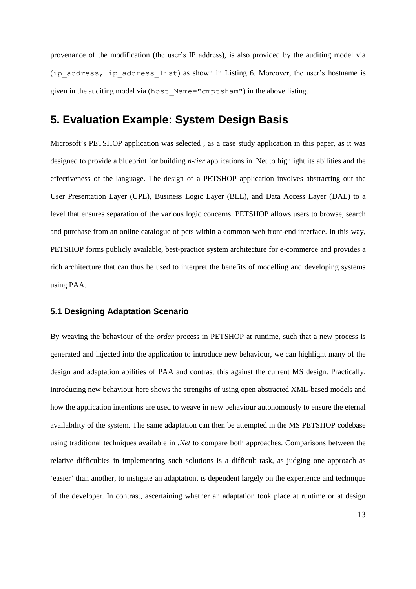provenance of the modification (the user's IP address), is also provided by the auditing model via (ip\_address, ip\_address\_list) as shown in Listing 6. Moreover, the user's hostname is given in the auditing model via (host\_Name="cmptsham") in the above listing.

# **5. Evaluation Example: System Design Basis**

Microsoft's PETSHOP application was selected , as a case study application in this paper, as it was designed to provide a blueprint for building *n-tier* applications in .Net to highlight its abilities and the effectiveness of the language. The design of a PETSHOP application involves abstracting out the User Presentation Layer (UPL), Business Logic Layer (BLL), and Data Access Layer (DAL) to a level that ensures separation of the various logic concerns. PETSHOP allows users to browse, search and purchase from an online catalogue of pets within a common web front-end interface. In this way, PETSHOP forms publicly available, best-practice system architecture for e-commerce and provides a rich architecture that can thus be used to interpret the benefits of modelling and developing systems using PAA.

#### **5.1 Designing Adaptation Scenario**

By weaving the behaviour of the *order* process in PETSHOP at runtime, such that a new process is generated and injected into the application to introduce new behaviour, we can highlight many of the design and adaptation abilities of PAA and contrast this against the current MS design. Practically, introducing new behaviour here shows the strengths of using open abstracted XML-based models and how the application intentions are used to weave in new behaviour autonomously to ensure the eternal availability of the system. The same adaptation can then be attempted in the MS PETSHOP codebase using traditional techniques available in *.Net* to compare both approaches. Comparisons between the relative difficulties in implementing such solutions is a difficult task, as judging one approach as 'easier' than another, to instigate an adaptation, is dependent largely on the experience and technique of the developer. In contrast, ascertaining whether an adaptation took place at runtime or at design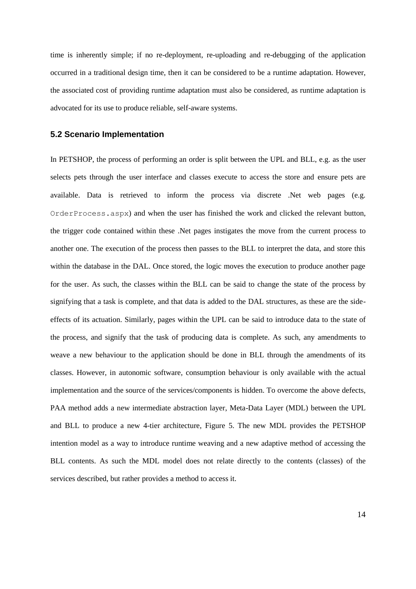time is inherently simple; if no re-deployment, re-uploading and re-debugging of the application occurred in a traditional design time, then it can be considered to be a runtime adaptation. However, the associated cost of providing runtime adaptation must also be considered, as runtime adaptation is advocated for its use to produce reliable, self-aware systems.

#### **5.2 Scenario Implementation**

In PETSHOP, the process of performing an order is split between the UPL and BLL, e.g. as the user selects pets through the user interface and classes execute to access the store and ensure pets are available. Data is retrieved to inform the process via discrete .Net web pages (e.g. OrderProcess.aspx) and when the user has finished the work and clicked the relevant button, the trigger code contained within these .Net pages instigates the move from the current process to another one. The execution of the process then passes to the BLL to interpret the data, and store this within the database in the DAL. Once stored, the logic moves the execution to produce another page for the user. As such, the classes within the BLL can be said to change the state of the process by signifying that a task is complete, and that data is added to the DAL structures, as these are the sideeffects of its actuation. Similarly, pages within the UPL can be said to introduce data to the state of the process, and signify that the task of producing data is complete. As such, any amendments to weave a new behaviour to the application should be done in BLL through the amendments of its classes. However, in autonomic software, consumption behaviour is only available with the actual implementation and the source of the services/components is hidden. To overcome the above defects, PAA method adds a new intermediate abstraction layer, Meta-Data Layer (MDL) between the UPL and BLL to produce a new 4-tier architecture, Figure 5. The new MDL provides the PETSHOP intention model as a way to introduce runtime weaving and a new adaptive method of accessing the BLL contents. As such the MDL model does not relate directly to the contents (classes) of the services described, but rather provides a method to access it.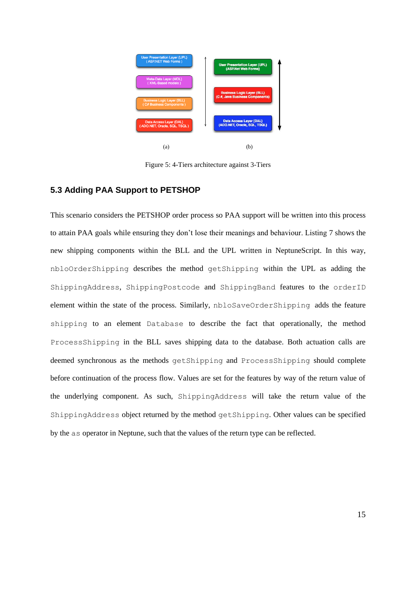

Figure 5: 4-Tiers architecture against 3-Tiers

### **5.3 Adding PAA Support to PETSHOP**

This scenario considers the PETSHOP order process so PAA support will be written into this process to attain PAA goals while ensuring they don't lose their meanings and behaviour. Listing 7 shows the new shipping components within the BLL and the UPL written in NeptuneScript. In this way, nbloOrderShipping describes the method getShipping within the UPL as adding the ShippingAddress, ShippingPostcode and ShippingBand features to the orderID element within the state of the process. Similarly, nbloSaveOrderShipping adds the feature shipping to an element Database to describe the fact that operationally, the method ProcessShipping in the BLL saves shipping data to the database. Both actuation calls are deemed synchronous as the methods getShipping and ProcessShipping should complete before continuation of the process flow. Values are set for the features by way of the return value of the underlying component. As such, ShippingAddress will take the return value of the ShippingAddress object returned by the method getShipping. Other values can be specified by the as operator in Neptune, such that the values of the return type can be reflected.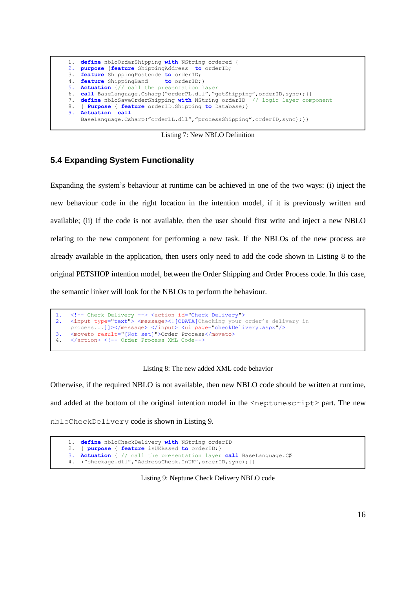

Listing 7: New NBLO Definition

## **5.4 Expanding System Functionality**

Expanding the system's behaviour at runtime can be achieved in one of the two ways: (i) inject the new behaviour code in the right location in the intention model, if it is previously written and available; (ii) If the code is not available, then the user should first write and inject a new NBLO relating to the new component for performing a new task. If the NBLOs of the new process are already available in the application, then users only need to add the code shown in Listing 8 to the original PETSHOP intention model, between the Order Shipping and Order Process code. In this case, the semantic linker will look for the NBLOs to perform the behaviour.

```
1. <!-- Check Delivery --> <action id="Check Delivery">
2. <input type="text"> <message><![CDATA[Checking your order's delivery in
    process...]]></message> </input> <ui page="checkDelivery.aspx"/>
3. <moveto result="[Not set]">Order Process</moveto><br>4. </action> <!-- Order Process XML Code-->
    4. </action> <!-- Order Process XML Code-->
```
#### Listing 8: The new added XML code behavior

Otherwise, if the required NBLO is not available, then new NBLO code should be written at runtime, and added at the bottom of the original intention model in the  $\langle$ neptunescript $\rangle$  part. The new nbloCheckDelivery code is shown in Listing 9.

```
1. define nbloCheckDelivery with NString orderID
2. { purpose { feature isUKBased to orderID;}
3. Actuation { // call the presentation layer call BaseLanguage.C♯<br>4. ("checkage.dll","AddressCheck.InUK",orderID,sync);}}
    4. ("checkage.dll","AddressCheck.InUK",orderID,sync);}}
```
Listing 9: Neptune Check Delivery NBLO code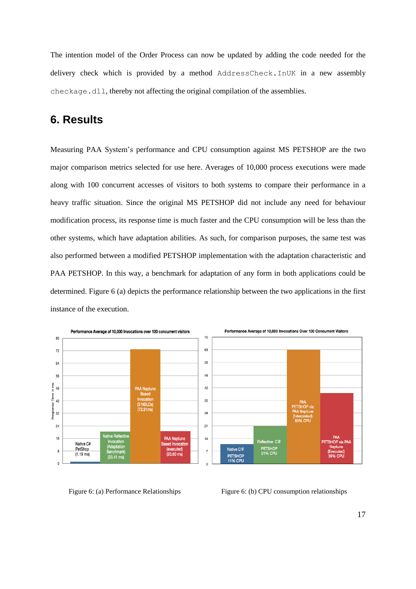The intention model of the Order Process can now be updated by adding the code needed for the delivery check which is provided by a method AddressCheck.InUK in a new assembly checkage.dll, thereby not affecting the original compilation of the assemblies.

# **6. Results**

Measuring PAA System's performance and CPU consumption against MS PETSHOP are the two major comparison metrics selected for use here. Averages of 10,000 process executions were made along with 100 concurrent accesses of visitors to both systems to compare their performance in a heavy traffic situation. Since the original MS PETSHOP did not include any need for behaviour modification process, its response time is much faster and the CPU consumption will be less than the other systems, which have adaptation abilities. As such, for comparison purposes, the same test was also performed between a modified PETSHOP implementation with the adaptation characteristic and PAA PETSHOP. In this way, a benchmark for adaptation of any form in both applications could be determined. Figure 6 (a) depicts the performance relationship between the two applications in the first instance of the execution.



Figure 6: (a) Performance Relationships Figure 6: (b) CPU consumption relationships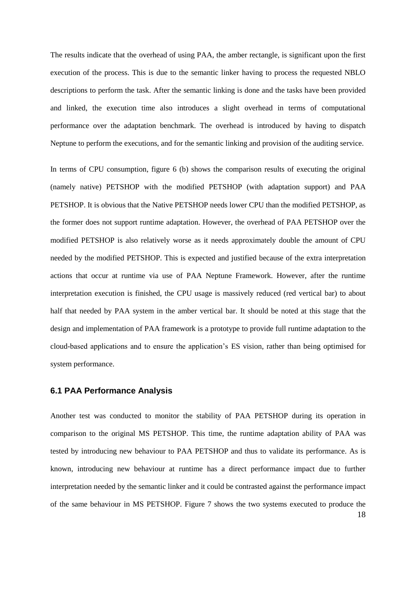The results indicate that the overhead of using PAA, the amber rectangle, is significant upon the first execution of the process. This is due to the semantic linker having to process the requested NBLO descriptions to perform the task. After the semantic linking is done and the tasks have been provided and linked, the execution time also introduces a slight overhead in terms of computational performance over the adaptation benchmark. The overhead is introduced by having to dispatch Neptune to perform the executions, and for the semantic linking and provision of the auditing service.

In terms of CPU consumption, figure 6 (b) shows the comparison results of executing the original (namely native) PETSHOP with the modified PETSHOP (with adaptation support) and PAA PETSHOP. It is obvious that the Native PETSHOP needs lower CPU than the modified PETSHOP, as the former does not support runtime adaptation. However, the overhead of PAA PETSHOP over the modified PETSHOP is also relatively worse as it needs approximately double the amount of CPU needed by the modified PETSHOP. This is expected and justified because of the extra interpretation actions that occur at runtime via use of PAA Neptune Framework. However, after the runtime interpretation execution is finished, the CPU usage is massively reduced (red vertical bar) to about half that needed by PAA system in the amber vertical bar. It should be noted at this stage that the design and implementation of PAA framework is a prototype to provide full runtime adaptation to the cloud-based applications and to ensure the application's ES vision, rather than being optimised for system performance.

### **6.1 PAA Performance Analysis**

18 Another test was conducted to monitor the stability of PAA PETSHOP during its operation in comparison to the original MS PETSHOP. This time, the runtime adaptation ability of PAA was tested by introducing new behaviour to PAA PETSHOP and thus to validate its performance. As is known, introducing new behaviour at runtime has a direct performance impact due to further interpretation needed by the semantic linker and it could be contrasted against the performance impact of the same behaviour in MS PETSHOP. Figure 7 shows the two systems executed to produce the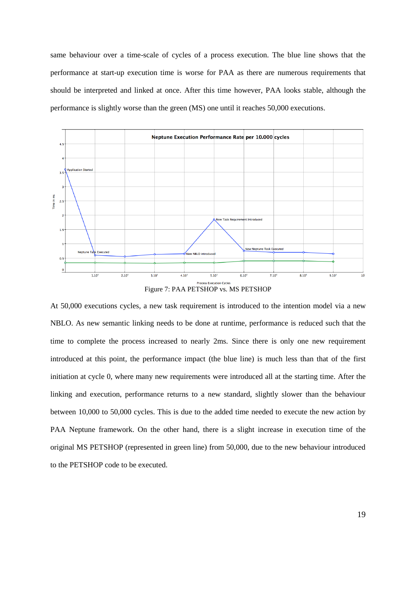same behaviour over a time-scale of cycles of a process execution. The blue line shows that the performance at start-up execution time is worse for PAA as there are numerous requirements that should be interpreted and linked at once. After this time however, PAA looks stable, although the performance is slightly worse than the green (MS) one until it reaches 50,000 executions.



Figure 7: PAA PETSHOP vs. MS PETSHOP

At 50,000 executions cycles, a new task requirement is introduced to the intention model via a new NBLO. As new semantic linking needs to be done at runtime, performance is reduced such that the time to complete the process increased to nearly 2ms. Since there is only one new requirement introduced at this point, the performance impact (the blue line) is much less than that of the first initiation at cycle 0, where many new requirements were introduced all at the starting time. After the linking and execution, performance returns to a new standard, slightly slower than the behaviour between 10,000 to 50,000 cycles. This is due to the added time needed to execute the new action by PAA Neptune framework. On the other hand, there is a slight increase in execution time of the original MS PETSHOP (represented in green line) from 50,000, due to the new behaviour introduced to the PETSHOP code to be executed.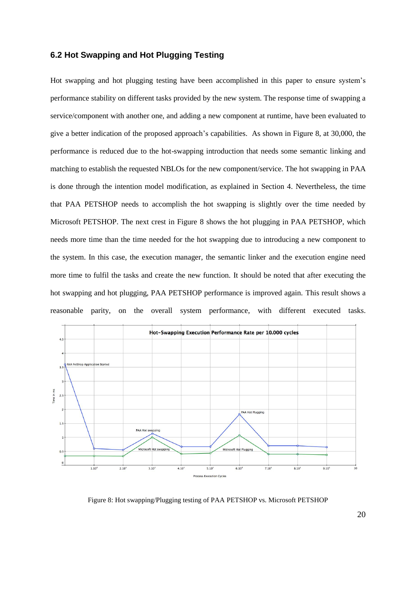#### **6.2 Hot Swapping and Hot Plugging Testing**

Hot swapping and hot plugging testing have been accomplished in this paper to ensure system's performance stability on different tasks provided by the new system. The response time of swapping a service/component with another one, and adding a new component at runtime, have been evaluated to give a better indication of the proposed approach's capabilities. As shown in Figure 8, at 30,000, the performance is reduced due to the hot-swapping introduction that needs some semantic linking and matching to establish the requested NBLOs for the new component/service. The hot swapping in PAA is done through the intention model modification, as explained in Section 4. Nevertheless, the time that PAA PETSHOP needs to accomplish the hot swapping is slightly over the time needed by Microsoft PETSHOP. The next crest in Figure 8 shows the hot plugging in PAA PETSHOP, which needs more time than the time needed for the hot swapping due to introducing a new component to the system. In this case, the execution manager, the semantic linker and the execution engine need more time to fulfil the tasks and create the new function. It should be noted that after executing the hot swapping and hot plugging, PAA PETSHOP performance is improved again. This result shows a reasonable parity, on the overall system performance, with different executed tasks.



Figure 8: Hot swapping/Plugging testing of PAA PETSHOP vs. Microsoft PETSHOP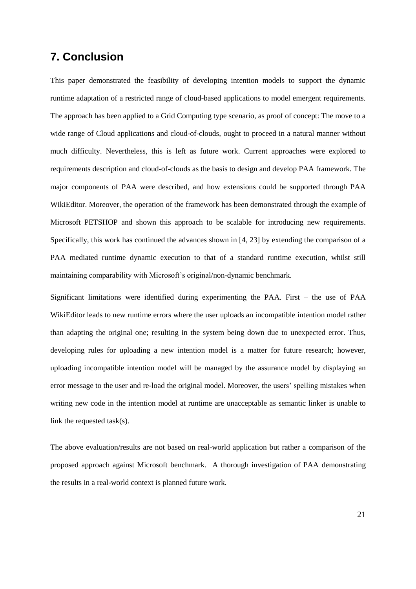# **7. Conclusion**

This paper demonstrated the feasibility of developing intention models to support the dynamic runtime adaptation of a restricted range of cloud-based applications to model emergent requirements. The approach has been applied to a Grid Computing type scenario, as proof of concept: The move to a wide range of Cloud applications and cloud-of-clouds, ought to proceed in a natural manner without much difficulty. Nevertheless, this is left as future work. Current approaches were explored to requirements description and cloud-of-clouds as the basis to design and develop PAA framework. The major components of PAA were described, and how extensions could be supported through PAA WikiEditor. Moreover, the operation of the framework has been demonstrated through the example of Microsoft PETSHOP and shown this approach to be scalable for introducing new requirements. Specifically, this work has continued the advances shown in [4, 23] by extending the comparison of a PAA mediated runtime dynamic execution to that of a standard runtime execution, whilst still maintaining comparability with Microsoft's original/non-dynamic benchmark.

Significant limitations were identified during experimenting the PAA. First – the use of PAA WikiEditor leads to new runtime errors where the user uploads an incompatible intention model rather than adapting the original one; resulting in the system being down due to unexpected error. Thus, developing rules for uploading a new intention model is a matter for future research; however, uploading incompatible intention model will be managed by the assurance model by displaying an error message to the user and re-load the original model. Moreover, the users' spelling mistakes when writing new code in the intention model at runtime are unacceptable as semantic linker is unable to link the requested task(s).

The above evaluation/results are not based on real-world application but rather a comparison of the proposed approach against Microsoft benchmark. A thorough investigation of PAA demonstrating the results in a real-world context is planned future work.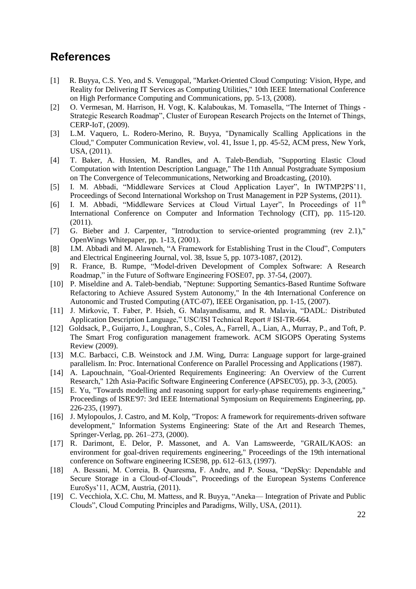# **References**

- [1] R. Buyya, C.S. Yeo, and S. Venugopal, "Market-Oriented Cloud Computing: Vision, Hype, and Reality for Delivering IT Services as Computing Utilities," 10th IEEE International Conference on High Performance Computing and Communications, pp. 5-13, (2008).
- [2] O. Vermesan, M. Harrison, H. Vogt, K. Kalaboukas, M. Tomasella, "The Internet of Things Strategic Research Roadmap", Cluster of European Research Projects on the Internet of Things, CERP-IoT, (2009).
- [3] L.M. Vaquero, L. Rodero-Merino, R. Buyya, "Dynamically Scalling Applications in the Cloud," Computer Communication Review, vol. 41, Issue 1, pp. 45-52, ACM press, New York, USA, (2011).
- [4] T. Baker, A. Hussien, M. Randles, and A. Taleb-Bendiab, "Supporting Elastic Cloud Computation with Intention Description Language," The 11th Annual Postgraduate Symposium on The Convergence of Telecommunications, Networking and Broadcasting, (2010).
- [5] I. M. Abbadi, "Middleware Services at Cloud Application Layer", In IWTMP2PS'11, Proceedings of Second International Workshop on Trust Management in P2P Systems, (2011).
- [6] I. M. Abbadi, "Middleware Services at Cloud Virtual Layer", In Proceedings of 11<sup>th</sup> International Conference on Computer and Information Technology (CIT), pp. 115-120. (2011).
- [7] G. Bieber and J. Carpenter, "Introduction to service-oriented programming (rev 2.1)," OpenWings Whitepaper, pp. 1-13, (2001).
- [8] I.M. Abbadi and M. Alawneh, "A Framework for Establishing Trust in the Cloud", Computers and Electrical Engineering Journal, vol. 38, Issue 5, pp. 1073-1087, (2012).
- [9] R. France, B. Rumpe, "Model-driven Development of Complex Software: A Research Roadmap," in the Future of Software Engineering FOSE07, pp. 37-54, (2007).
- [10] P. Miseldine and A. Taleb-bendiab, "Neptune: Supporting Semantics-Based Runtime Software Refactoring to Achieve Assured System Autonomy," In the 4th International Conference on Autonomic and Trusted Computing (ATC-07), IEEE Organisation, pp. 1-15, (2007).
- [11] J. Mirkovic, T. Faber, P. Hsieh, G. Malayandisamu, and R. Malavia, "DADL: Distributed Application Description Language," USC/ISI Technical Report # ISI-TR-664.
- [12] Goldsack, P., Guijarro, J., Loughran, S., Coles, A., Farrell, A., Lian, A., Murray, P., and Toft, P. The Smart Frog configuration management framework. ACM SIGOPS Operating Systems Review (2009).
- [13] M.C. Barbacci, C.B. Weinstock and J.M. Wing, Durra: Language support for large-grained parallelism. In: Proc. International Conference on Parallel Processing and Applications (1987).
- [14] A. Lapouchnain, "Goal-Oriented Requirements Engineering: An Overview of the Current Research," 12th Asia-Pacific Software Engineering Conference (APSEC'05), pp. 3-3, (2005).
- [15] E. Yu, "Towards modelling and reasoning support for early-phase requirements engineering," Proceedings of ISRE'97: 3rd IEEE International Symposium on Requirements Engineering, pp. 226-235, (1997).
- [16] J. Mylopoulos, J. Castro, and M. Kolp, "Tropos: A framework for requirements-driven software development," Information Systems Engineering: State of the Art and Research Themes, Springer-Verlag, pp. 261–273, (2000).
- [17] R. Darimont, E. Delor, P. Massonet, and A. Van Lamsweerde, "GRAIL/KAOS: an environment for goal-driven requirements engineering," Proceedings of the 19th international conference on Software engineering ICSE98, pp. 612–613, (1997).
- [18] A. Bessani, M. Correia, B. Quaresma, F. Andre, and P. Sousa, "DepSky: Dependable and Secure Storage in a Cloud-of-Clouds", Proceedings of the European Systems Conference EuroSys'11, ACM, Austria, (2011).
- [19] C. Vecchiola, X.C. Chu, M. Mattess, and R. Buyya, "Aneka— Integration of Private and Public Clouds", Cloud Computing Principles and Paradigms, Willy, USA, (2011).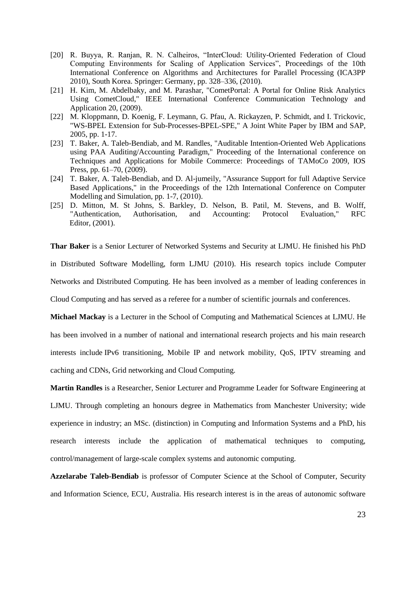- [20] R. Buyya, R. Ranjan, R. N. Calheiros, "InterCloud: Utility-Oriented Federation of Cloud Computing Environments for Scaling of Application Services", Proceedings of the 10th International Conference on Algorithms and Architectures for Parallel Processing (ICA3PP 2010), South Korea. Springer: Germany, pp. 328–336, (2010).
- [21] H. Kim, M. Abdelbaky, and M. Parashar, "CometPortal: A Portal for Online Risk Analytics Using CometCloud," IEEE International Conference Communication Technology and Application 20, (2009).
- [22] M. Kloppmann, D. Koenig, F. Leymann, G. Pfau, A. Rickayzen, P. Schmidt, and I. Trickovic, "WS-BPEL Extension for Sub-Processes-BPEL-SPE," A Joint White Paper by IBM and SAP, 2005, pp. 1-17.
- [23] T. Baker, A. Taleb-Bendiab, and M. Randles, "Auditable Intention-Oriented Web Applications using PAA Auditing/Accounting Paradigm," Proceeding of the International conference on Techniques and Applications for Mobile Commerce: Proceedings of TAMoCo 2009, IOS Press, pp. 61–70, (2009).
- [24] T. Baker, A. Taleb-Bendiab, and D. Al-jumeily, "Assurance Support for full Adaptive Service Based Applications," in the Proceedings of the 12th International Conference on Computer Modelling and Simulation, pp. 1-7, (2010).
- [25] D. Mitton, M. St Johns, S. Barkley, D. Nelson, B. Patil, M. Stevens, and B. Wolff, "Authentication, Authorisation, and Accounting: Protocol Evaluation," RFC Editor, (2001).

**Thar Baker** is a Senior Lecturer of Networked Systems and Security at LJMU. He finished his PhD in Distributed Software Modelling, form LJMU (2010). His research topics include Computer Networks and Distributed Computing. He has been involved as a member of leading conferences in Cloud Computing and has served as a referee for a number of scientific journals and conferences.

**Michael Mackay** is a Lecturer in the School of Computing and Mathematical Sciences at LJMU. He has been involved in a number of national and international research projects and his main research interests include IPv6 transitioning, Mobile IP and network mobility, QoS, IPTV streaming and caching and CDNs, Grid networking and Cloud Computing.

**Martin Randles** is a Researcher, Senior Lecturer and Programme Leader for Software Engineering at LJMU. Through completing an honours degree in Mathematics from Manchester University; wide experience in industry; an MSc. (distinction) in Computing and Information Systems and a PhD, his research interests include the application of mathematical techniques to computing, control/management of large-scale complex systems and autonomic computing.

**Azzelarabe Taleb-Bendiab** is professor of Computer Science at the School of Computer, Security and Information Science, ECU, Australia. His research interest is in the areas of autonomic software